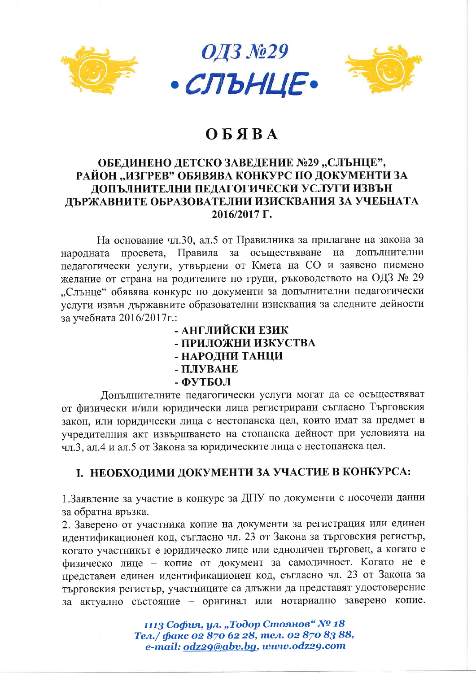

# OKSRA

### ОБЕДИНЕНО ДЕТСКО ЗАВЕДЕНИЕ №29 "СЛЪНЦЕ", РАЙОН "ИЗГРЕВ" ОБЯВЯВА КОНКУРС ПО ДОКУМЕНТИ ЗА ДОПЪЛНИТЕЛНИ ПЕДАГОГИЧЕСКИ УСЛУГИ ИЗВЪН ЛЪРЖАВНИТЕ ОБРАЗОВАТЕЛНИ ИЗИСКВАНИЯ ЗА УЧЕБНАТА 2016/2017 Г.

На основание чл.30, ал.5 от Правилника за прилагане на закона за Правила за осъществяване на допълнителни народната просвета, педагогически услуги, утвърдени от Кмета на СО и заявено писмено желание от страна на родителите по групи, ръководството на ОДЗ № 29 "Слънце" обявява конкурс по документи за допълнителни педагогически услуги извън държавните образователни изисквания за следните дейности за учебната 2016/2017 г.:

### - АНГЛИЙСКИ ЕЗИК - ПРИЛОЖНИ ИЗКУСТВА - НАРОДНИ ТАНЦИ - ПЛУВАНЕ - ФУТБОЛ

Допълнителните педагогически услуги могат да се осъществяват от физически и/или юридически лица регистрирани съгласно Търговския закон, или юридически лица с нестопанска цел, които имат за предмет в учредителния акт извършването на стопанска дейност при условията на чл.3, ал.4 и ал.5 от Закона за юридическите лица с нестопанска цел.

## І. НЕОБХОДИМИ ДОКУМЕНТИ ЗА УЧАСТИЕ В КОНКУРСА:

1. Заявление за участие в конкурс за ДПУ по документи с посочени данни за обратна връзка.

2. Заверено от участника копие на документи за регистрация или единен идентификационен код, съгласно чл. 23 от Закона за търговския регистър, когато участникът е юридическо лице или едноличен търговец, а когато е физическо лице - копие от документ за самоличност. Когато не е представен единен идентификационен код, съгласно чл. 23 от Закона за търговския регистър, участниците са длъжни да представят удостоверение за актуално състояние - оригинал или нотариално заверено копие.

> 1113 София, ул. "Тодор Стоянов" № 18 Тел./ факс 02 870 62 28, тел. 02 870 83 88, e-mail: odz29@abv.bg, www.odz29.com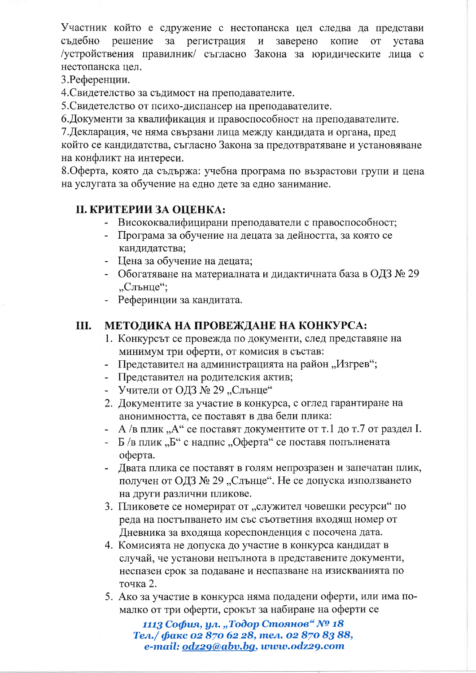Участник който е сдружение с нестопанска цел следва да представи съдебно решение за регистрация заверено устава  $\, {\bf N}$ копие **OT** /устройствения правилник/ съгласно Закона за юридическите лица с нестопанска цел.

3. Референции.

4. Свидетелство за съдимост на преподавателите.

5. Свидетелство от психо-диспансер на преподавателите.

6. Документи за квалификация и правоспособност на преподавателите.

7. Декларация, че няма свързани лица между кандидата и органа, пред който се кандидатства, съгласно Закона за предотвратяване и установяване на конфликт на интереси.

8. Оферта, която да съдържа: учебна програма по възрастови групи и цена на услугата за обучение на едно дете за едно занимание.

# **II. КРИТЕРИИ ЗА ОЦЕНКА:**

- Висококвалифицирани преподаватели с правоспособност;
- Програма за обучение на децата за дейността, за която се кандидатства;
- Цена за обучение на децата;
- Обогатяване на материалната и дидактичната база в ОДЗ № 29 Слънце":
- Реферинции за кандитата.

### Ш. МЕТОДИКА НА ПРОВЕЖДАНЕ НА КОНКУРСА:

- 1. Конкурсът се провежда по документи, след представяне на минимум три оферти, от комисия в състав:
- Представител на администрацията на район "Изгрев";
- Представител на родителския актив;
- Учители от ОДЗ № 29 "Слънце"
- 2. Документите за участие в конкурса, с оглед гарантиране на анонимността, се поставят в два бели плика:
- $A$  /в плик "А" се поставят документите от т.1 до т.7 от раздел I.
- Б/в плик "Б" с надпис "Оферта" се поставя попълнената оферта.
- Двата плика се поставят в голям непрозразен и запечатан плик, получен от ОДЗ № 29 "Слънце". Не се допуска използването на други различни пликове.
- 3. Пликовете се номерират от "служител човешки ресурси" по реда на постъпването им със съответния входящ номер от Дневника за входяща кореспонденция с посочена дата.
- 4. Комисията не допуска до участие в конкурса кандидат в случай, че установи непълнота в представените документи, неспазен срок за подаване и неспазване на изискванията по точка 2.
- 5. Ако за участие в конкурса няма подадени оферти, или има помалко от три оферти, срокът за набиране на оферти се

1113 София, ул. "Тодор Стоянов" № 18 Тел./ факс 02 870 62 28, тел. 02 870 83 88, e-mail: odz29@abv.bg, www.odz29.com